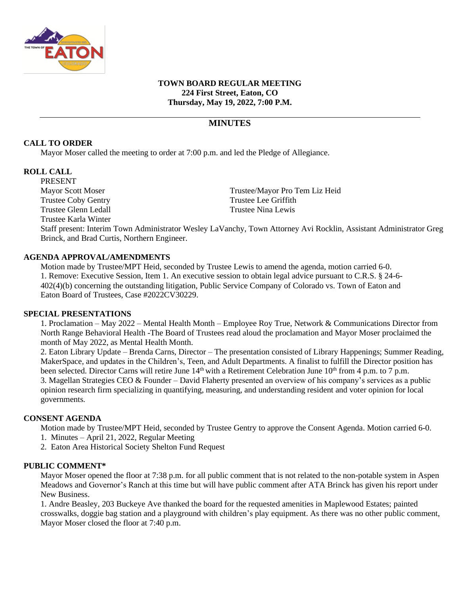

#### **TOWN BOARD REGULAR MEETING 224 First Street, Eaton, CO Thursday, May 19, 2022, 7:00 P.M.**

# **MINUTES**

### **CALL TO ORDER**

Mayor Moser called the meeting to order at 7:00 p.m. and led the Pledge of Allegiance.

### **ROLL CALL**

PRESENT Trustee Coby Gentry Trustee Lee Griffith Trustee Glenn Ledall Trustee Nina Lewis Trustee Karla Winter

Mayor Scott Moser Trustee/Mayor Pro Tem Liz Heid

Staff present: Interim Town Administrator Wesley LaVanchy, Town Attorney Avi Rocklin, Assistant Administrator Greg Brinck, and Brad Curtis, Northern Engineer.

### **AGENDA APPROVAL/AMENDMENTS**

Motion made by Trustee/MPT Heid, seconded by Trustee Lewis to amend the agenda, motion carried 6-0. 1. Remove: Executive Session, Item 1. An executive session to obtain legal advice pursuant to C.R.S. § 24-6- 402(4)(b) concerning the outstanding litigation, Public Service Company of Colorado vs. Town of Eaton and Eaton Board of Trustees, Case #2022CV30229.

#### **SPECIAL PRESENTATIONS**

1. Proclamation – May 2022 – Mental Health Month – Employee Roy True, Network & Communications Director from North Range Behavioral Health -The Board of Trustees read aloud the proclamation and Mayor Moser proclaimed the month of May 2022, as Mental Health Month.

2. Eaton Library Update – Brenda Carns, Director – The presentation consisted of Library Happenings; Summer Reading, MakerSpace, and updates in the Children's, Teen, and Adult Departments. A finalist to fulfill the Director position has been selected. Director Carns will retire June 14<sup>th</sup> with a Retirement Celebration June 10<sup>th</sup> from 4 p.m. to 7 p.m. 3. Magellan Strategies CEO & Founder – David Flaherty presented an overview of his company's services as a public opinion research firm specializing in quantifying, measuring, and understanding resident and voter opinion for local governments.

#### **CONSENT AGENDA**

Motion made by Trustee/MPT Heid, seconded by Trustee Gentry to approve the Consent Agenda. Motion carried 6-0.

1. Minutes – April 21, 2022, Regular Meeting

2. Eaton Area Historical Society Shelton Fund Request

#### **PUBLIC COMMENT\***

Mayor Moser opened the floor at 7:38 p.m. for all public comment that is not related to the non-potable system in Aspen Meadows and Governor's Ranch at this time but will have public comment after ATA Brinck has given his report under New Business.

1. Andre Beasley, 203 Buckeye Ave thanked the board for the requested amenities in Maplewood Estates; painted crosswalks, doggie bag station and a playground with children's play equipment. As there was no other public comment, Mayor Moser closed the floor at 7:40 p.m.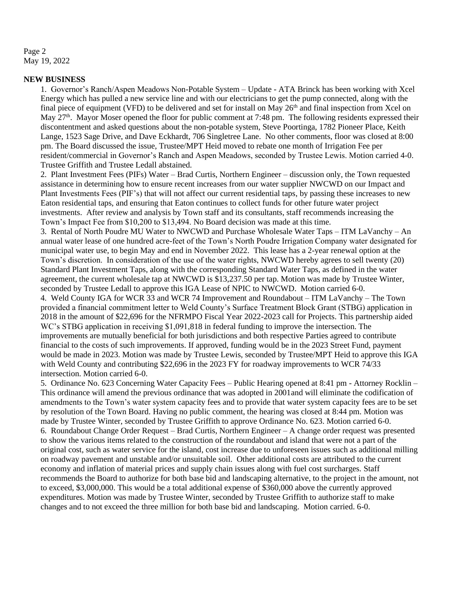Page 2 May 19, 2022

#### **NEW BUSINESS**

1. Governor's Ranch/Aspen Meadows Non-Potable System – Update - ATA Brinck has been working with Xcel Energy which has pulled a new service line and with our electricians to get the pump connected, along with the final piece of equipment (VFD) to be delivered and set for install on May  $26<sup>th</sup>$  and final inspection from Xcel on May  $27<sup>th</sup>$ . Mayor Moser opened the floor for public comment at 7:48 pm. The following residents expressed their discontentment and asked questions about the non-potable system, Steve Poortinga, 1782 Pioneer Place, Keith Lange, 1523 Sage Drive, and Dave Eckhardt, 706 Singletree Lane. No other comments, floor was closed at 8:00 pm. The Board discussed the issue, Trustee/MPT Heid moved to rebate one month of Irrigation Fee per resident/commercial in Governor's Ranch and Aspen Meadows, seconded by Trustee Lewis. Motion carried 4-0. Trustee Griffith and Trustee Ledall abstained.

2. Plant Investment Fees (PIFs) Water – Brad Curtis, Northern Engineer – discussion only, the Town requested assistance in determining how to ensure recent increases from our water supplier NWCWD on our Impact and Plant Investments Fees (PIF's) that will not affect our current residential taps, by passing these increases to new Eaton residential taps, and ensuring that Eaton continues to collect funds for other future water project investments. After review and analysis by Town staff and its consultants, staff recommends increasing the Town's Impact Fee from \$10,200 to \$13,494. No Board decision was made at this time.

3. Rental of North Poudre MU Water to NWCWD and Purchase Wholesale Water Taps – ITM LaVanchy – An annual water lease of one hundred acre-feet of the Town's North Poudre Irrigation Company water designated for municipal water use, to begin May and end in November 2022. This lease has a 2-year renewal option at the Town's discretion. In consideration of the use of the water rights, NWCWD hereby agrees to sell twenty (20) Standard Plant Investment Taps, along with the corresponding Standard Water Taps, as defined in the water agreement, the current wholesale tap at NWCWD is \$13,237.50 per tap. Motion was made by Trustee Winter, seconded by Trustee Ledall to approve this IGA Lease of NPIC to NWCWD. Motion carried 6-0. 4. Weld County IGA for WCR 33 and WCR 74 Improvement and Roundabout – ITM LaVanchy – The Town provided a financial commitment letter to Weld County's Surface Treatment Block Grant (STBG) application in 2018 in the amount of \$22,696 for the NFRMPO Fiscal Year 2022-2023 call for Projects. This partnership aided WC's STBG application in receiving \$1,091,818 in federal funding to improve the intersection. The improvements are mutually beneficial for both jurisdictions and both respective Parties agreed to contribute financial to the costs of such improvements. If approved, funding would be in the 2023 Street Fund, payment would be made in 2023. Motion was made by Trustee Lewis, seconded by Trustee/MPT Heid to approve this IGA with Weld County and contributing \$22,696 in the 2023 FY for roadway improvements to WCR 74/33 intersection. Motion carried 6-0.

5. Ordinance No. 623 Concerning Water Capacity Fees – Public Hearing opened at 8:41 pm - Attorney Rocklin – This ordinance will amend the previous ordinance that was adopted in 2001and will eliminate the codification of amendments to the Town's water system capacity fees and to provide that water system capacity fees are to be set by resolution of the Town Board. Having no public comment, the hearing was closed at 8:44 pm. Motion was made by Trustee Winter, seconded by Trustee Griffith to approve Ordinance No. 623. Motion carried 6-0. 6. Roundabout Change Order Request – Brad Curtis, Northern Engineer – A change order request was presented to show the various items related to the construction of the roundabout and island that were not a part of the original cost, such as water service for the island, cost increase due to unforeseen issues such as additional milling on roadway pavement and unstable and/or unsuitable soil. Other additional costs are attributed to the current economy and inflation of material prices and supply chain issues along with fuel cost surcharges. Staff recommends the Board to authorize for both base bid and landscaping alternative, to the project in the amount, not to exceed, \$3,000,000. This would be a total additional expense of \$360,000 above the currently approved expenditures. Motion was made by Trustee Winter, seconded by Trustee Griffith to authorize staff to make changes and to not exceed the three million for both base bid and landscaping. Motion carried. 6-0.